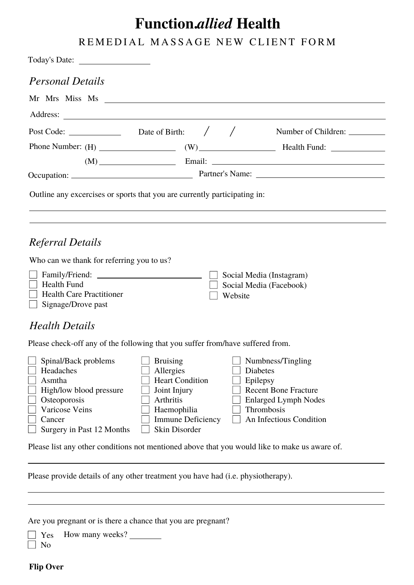## **Function.***allied* **Health**

## REMEDIAL MASSAGE NEW CLIENT FORM

| <b>Personal Details</b>                                                                          |                                                                                            |         |                                                                                                                |
|--------------------------------------------------------------------------------------------------|--------------------------------------------------------------------------------------------|---------|----------------------------------------------------------------------------------------------------------------|
|                                                                                                  |                                                                                            |         |                                                                                                                |
| Address:                                                                                         |                                                                                            |         |                                                                                                                |
| Post Code: $\qquad \qquad$ Date of Birth: $\qquad /$                                             |                                                                                            |         |                                                                                                                |
|                                                                                                  |                                                                                            |         |                                                                                                                |
|                                                                                                  |                                                                                            |         | $(M)$ Email: Email: $\frac{1}{2}$                                                                              |
|                                                                                                  |                                                                                            |         |                                                                                                                |
| <b>Referral Details</b><br>Who can we thank for referring you to us?                             |                                                                                            |         |                                                                                                                |
| $\Box$ Health Fund<br>Health Care Practitioner<br>Signage/Drove past                             |                                                                                            | Website | $\Box$ Social Media (Instagram)<br>Social Media (Facebook)                                                     |
| <b>Health Details</b>                                                                            |                                                                                            |         |                                                                                                                |
| Please check-off any of the following that you suffer from/have suffered from.                   |                                                                                            |         |                                                                                                                |
| Spinal/Back problems<br>Headaches<br>$\sim$<br>Asmtha<br>High/low blood pressure<br>Osteoporosis | <b>Bruising</b><br>Allergies<br><b>Heart Condition</b><br>Joint Injury<br><b>Arthritis</b> |         | Numbness/Tingling<br><b>Diabetes</b><br>Epilepsy<br><b>Recent Bone Fracture</b><br><b>Enlarged Lymph Nodes</b> |

Varicose Veins Cancer  $\Box$  Surgery in Past 12 Months **Haemophilia** Immune Deficiency Skin Disorder

| $\Box$ Lyncpsy              |
|-----------------------------|
| <b>Recent Bone Fracture</b> |
| $\Box$ Enlarged Lymph Nodes |
| Thrombosis                  |
| An Infectious Condition     |

Please list any other conditions not mentioned above that you would like to make us aware of.

Please provide details of any other treatment you have had (i.e. physiotherapy).

Are you pregnant or is there a chance that you are pregnant?

Yes How many weeks?

 $\Box$  No

**Flip Over**